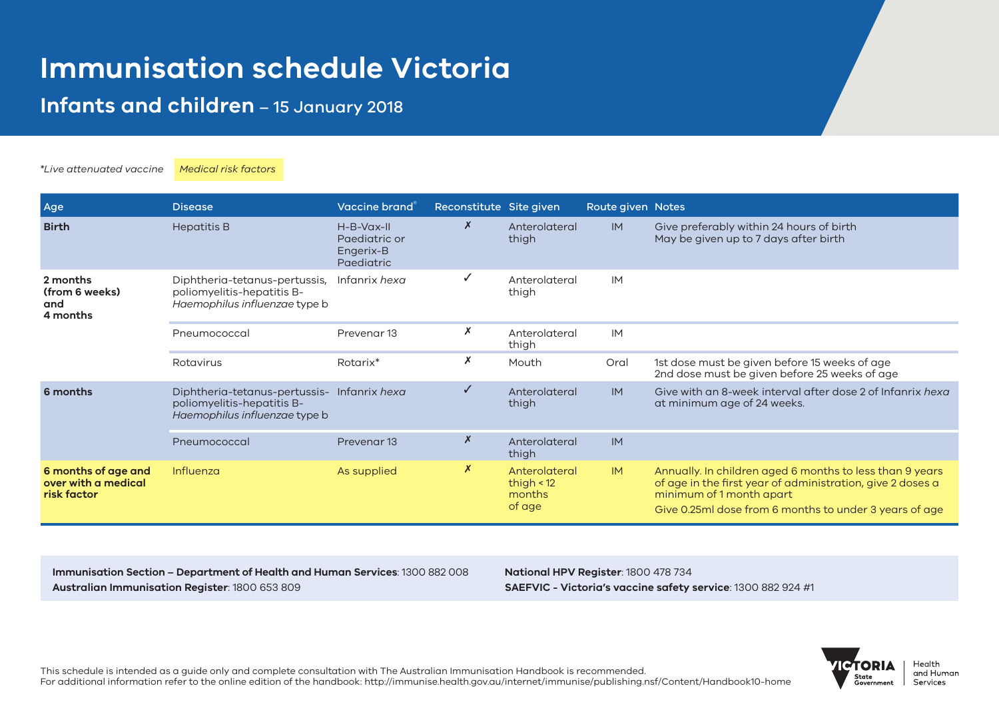### **Infants and children** – 15 January 2018

*\*Live attenuated vaccine Medical risk factors*

| Age                                                       | <b>Disease</b>                                                                                             | Vaccine brand®                                           | Reconstitute Site given |                                                   | Route given Notes |                                                                                                                                                                                                              |
|-----------------------------------------------------------|------------------------------------------------------------------------------------------------------------|----------------------------------------------------------|-------------------------|---------------------------------------------------|-------------------|--------------------------------------------------------------------------------------------------------------------------------------------------------------------------------------------------------------|
| <b>Birth</b>                                              | <b>Hepatitis B</b>                                                                                         | $H-B-Vax-II$<br>Paediatric or<br>Engerix-B<br>Paediatric | $\boldsymbol{x}$        | Anterolateral<br>thigh                            | IM                | Give preferably within 24 hours of birth<br>May be given up to 7 days after birth                                                                                                                            |
| 2 months<br>(from 6 weeks)<br>and<br>4 months             | Diphtheria-tetanus-pertussis,<br>poliomyelitis-hepatitis B-<br>Haemophilus influenzae type b               | Infanrix hexa                                            |                         | Anterolateral<br>thigh                            | IM                |                                                                                                                                                                                                              |
|                                                           | Pneumococcal                                                                                               | Prevenar <sub>13</sub>                                   | Х                       | Anterolateral<br>thigh                            | IM                |                                                                                                                                                                                                              |
|                                                           | Rotavirus                                                                                                  | Rotarix*                                                 | Х                       | Mouth                                             | Oral              | 1st dose must be given before 15 weeks of age<br>2nd dose must be given before 25 weeks of age                                                                                                               |
| 6 months                                                  | Diphtheria-tetanus-pertussis- Infanrix hexa<br>poliomyelitis-hepatitis B-<br>Haemophilus influenzae type b |                                                          |                         | Anterolateral<br>thigh                            | IM                | Give with an 8-week interval after dose 2 of Infanrix hexa<br>at minimum age of 24 weeks.                                                                                                                    |
|                                                           | Pneumococcal                                                                                               | Prevenar <sub>13</sub>                                   | $\boldsymbol{x}$        | Anterolateral<br>thigh                            | IM                |                                                                                                                                                                                                              |
| 6 months of age and<br>over with a medical<br>risk factor | Influenza                                                                                                  | As supplied                                              | X                       | Anterolateral<br>thigh $<$ 12<br>months<br>of age | IM                | Annually. In children aged 6 months to less than 9 years<br>of age in the first year of administration, give 2 doses a<br>minimum of 1 month apart<br>Give 0.25ml dose from 6 months to under 3 years of age |

**Immunisation Section – Department of Health and Human Services**: 1300 882 008 **Australian Immunisation Register**: 1800 653 809

**National HPV Register**: 1800 478 734 **SAEFVIC - Victoria's vaccine safety service**: 1300 882 924 #1



This schedule is intended as a guide only and complete consultation with The Australian Immunisation Handbook is recommended. For additional information refer to the online edition of the handbook: http://immunise.health.gov.au/internet/immunise/publishing.nsf/Content/Handbook10-home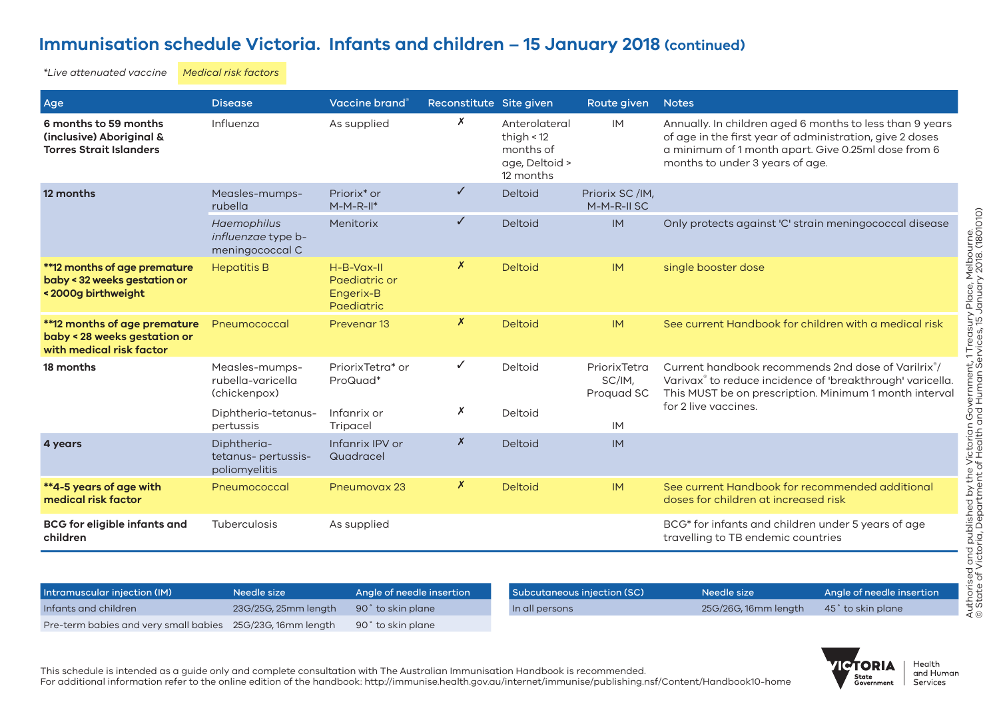#### **Immunisation schedule Victoria. Infants and children – 15 January 2018 (continued)**

*\*Live attenuated vaccine Medical risk factors*

| Age                                                                                      | <b>Disease</b>                                       | Vaccine brand                                          | Reconstitute Site given |                                                                           | Route given                          | <b>Notes</b>                                                                                                                                                                                                   |
|------------------------------------------------------------------------------------------|------------------------------------------------------|--------------------------------------------------------|-------------------------|---------------------------------------------------------------------------|--------------------------------------|----------------------------------------------------------------------------------------------------------------------------------------------------------------------------------------------------------------|
| 6 months to 59 months<br>(inclusive) Aboriginal &<br><b>Torres Strait Islanders</b>      | Influenza                                            | As supplied                                            | Х                       | Anterolateral<br>thigh $<$ 12<br>months of<br>age, Deltoid ><br>12 months | IM                                   | Annually. In children aged 6 months to less than 9 years<br>of age in the first year of administration, give 2 doses<br>a minimum of 1 month apart. Give 0.25ml dose from 6<br>months to under 3 years of age. |
| 12 months                                                                                | Measles-mumps-<br>rubella                            | Priorix <sup>*</sup> or<br>$M-M-R-II*$                 | $\checkmark$            | Deltoid                                                                   | Priorix SC/IM,<br>M-M-R-II SC        |                                                                                                                                                                                                                |
|                                                                                          | Haemophilus<br>influenzae type b-<br>meningococcal C | Menitorix                                              | $\checkmark$            | Deltoid                                                                   | IM                                   | Only protects against 'C' strain meningococcal disease                                                                                                                                                         |
| **12 months of age premature<br>baby < 32 weeks gestation or<br><2000g birthweight       | <b>Hepatitis B</b>                                   | H-B-Vax-II<br>Paediatric or<br>Engerix-B<br>Paediatric | X                       | Deltoid                                                                   | IM                                   | single booster dose                                                                                                                                                                                            |
| **12 months of age premature<br>baby < 28 weeks gestation or<br>with medical risk factor | Pneumococcal                                         | Prevenar <sub>13</sub>                                 | X                       | Deltoid                                                                   | IM                                   | See current Handbook for children with a medical risk                                                                                                                                                          |
| 18 months                                                                                | Measles-mumps-<br>rubella-varicella<br>(chickenpox)  | PriorixTetra <sup>*</sup> or<br>ProQuad*               | ✓                       | Deltoid                                                                   | PriorixTetra<br>SC/IM,<br>Proquad SC | Current handbook recommends 2nd dose of Varilrix <sup>®</sup> /<br>Varivax® to reduce incidence of 'breakthrough' varicella.<br>This MUST be on prescription. Minimum 1 month interval                         |
|                                                                                          | Diphtheria-tetanus-<br>pertussis                     | Infanrix or<br>Tripacel                                | Х                       | Deltoid                                                                   | IM                                   | for 2 live vaccines.                                                                                                                                                                                           |
| 4 years                                                                                  | Diphtheria-<br>tetanus- pertussis-<br>poliomyelitis  | Infanrix IPV or<br>Quadracel                           | $\boldsymbol{x}$        | Deltoid                                                                   | IM                                   |                                                                                                                                                                                                                |
| **4-5 years of age with<br>medical risk factor                                           | Pneumococcal                                         | Pneumovax 23                                           | X                       | Deltoid                                                                   | IM                                   | See current Handbook for recommended additional<br>doses for children at increased risk                                                                                                                        |
| <b>BCG</b> for eligible infants and<br>children                                          | Tuberculosis                                         | As supplied                                            |                         |                                                                           |                                      | BCG* for infants and children under 5 years of age<br>travelling to TB endemic countries                                                                                                                       |



Health and Human Services

This schedule is intended as a guide only and complete consultation with The Australian Immunisation Handbook is recommended. For additional information refer to the online edition of the handbook: http://immunise.health.gov.au/internet/immunise/publishing.nsf/Content/Handbook10-home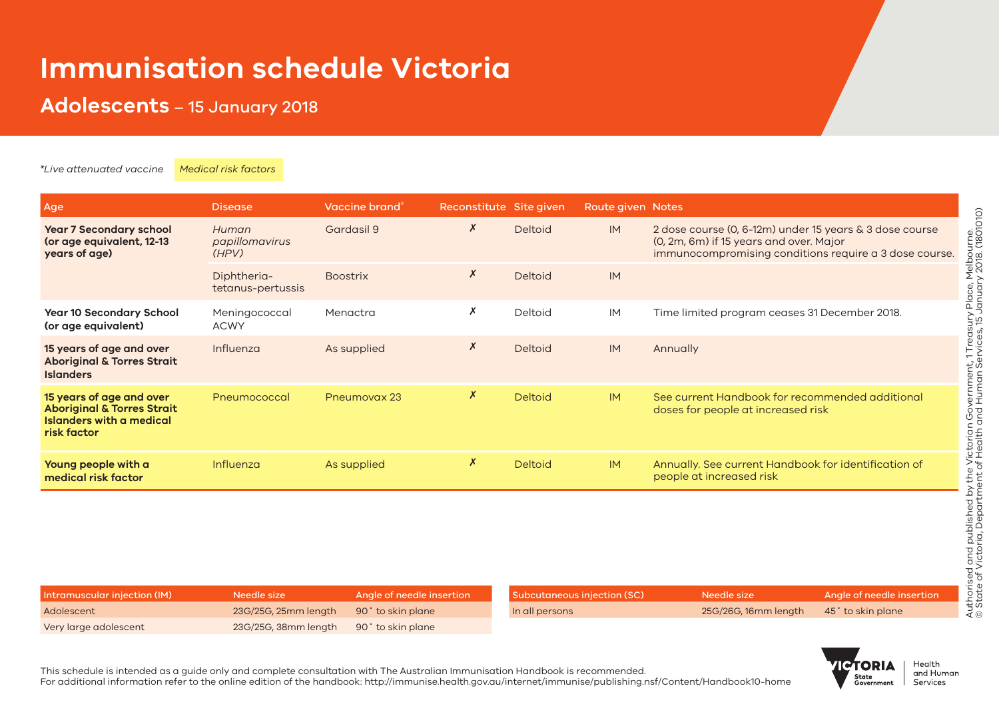#### **Adolescents** – 15 January 2018

*\*Live attenuated vaccine Medical risk factors*

| Age                                                                                                          | <b>Disease</b>                   | Vaccine brand <sup>®</sup> | Reconstitute Site given |                | Route given Notes |                                                                                                                                                              |
|--------------------------------------------------------------------------------------------------------------|----------------------------------|----------------------------|-------------------------|----------------|-------------------|--------------------------------------------------------------------------------------------------------------------------------------------------------------|
| <b>Year 7 Secondary school</b><br>(or age equivalent, 12-13)<br>years of age)                                | Human<br>papillomavirus<br>(HPV) | Gardasil 9                 | X                       | <b>Deltoid</b> | IM                | 2 dose course (0, 6-12m) under 15 years & 3 dose course<br>(0, 2m, 6m) if 15 years and over. Major<br>immunocompromising conditions require a 3 dose course. |
|                                                                                                              | Diphtheria-<br>tetanus-pertussis | <b>Boostrix</b>            | X                       | <b>Deltoid</b> | IM                |                                                                                                                                                              |
| <b>Year 10 Secondary School</b><br>(or age equivalent)                                                       | Meningococcal<br><b>ACWY</b>     | Menactra                   | Х                       | Deltoid        | IM                | Time limited program ceases 31 December 2018.                                                                                                                |
| 15 years of age and over<br><b>Aboriginal &amp; Torres Strait</b><br><b>Islanders</b>                        | Influenza                        | As supplied                | X                       | <b>Deltoid</b> | IM                | Annually                                                                                                                                                     |
| 15 years of age and over<br><b>Aboriginal &amp; Torres Strait</b><br>Islanders with a medical<br>risk factor | Pneumococcal                     | Pneumovax 23               | X                       | <b>Deltoid</b> | IM                | See current Handbook for recommended additional<br>doses for people at increased risk                                                                        |
| Young people with a<br>medical risk factor                                                                   | Influenza                        | As supplied                | X                       | <b>Deltoid</b> | IM                | Annually. See current Handbook for identification of<br>people at increased risk                                                                             |

| Intramuscular injection (IM) | Needle size                            | Angle of needle insertion | Subcutaneous injection (SC) | Needle size                            |
|------------------------------|----------------------------------------|---------------------------|-----------------------------|----------------------------------------|
| Adolescent                   | 23G/25G, 25mm length 90° to skin plane |                           | In all persons              | 25G/26G, 16mm length 45° to skin plane |
| Very large adolescent        | 23G/25G, 38mm length 90° to skin plane |                           |                             |                                        |



**TICTORIA** 

State<br>Government

This schedule is intended as a guide only and complete consultation with The Australian Immunisation Handbook is recommended.

For additional information refer to the online edition of the handbook: http://immunise.health.gov.au/internet/immunise/publishing.nsf/Content/Handbook10-home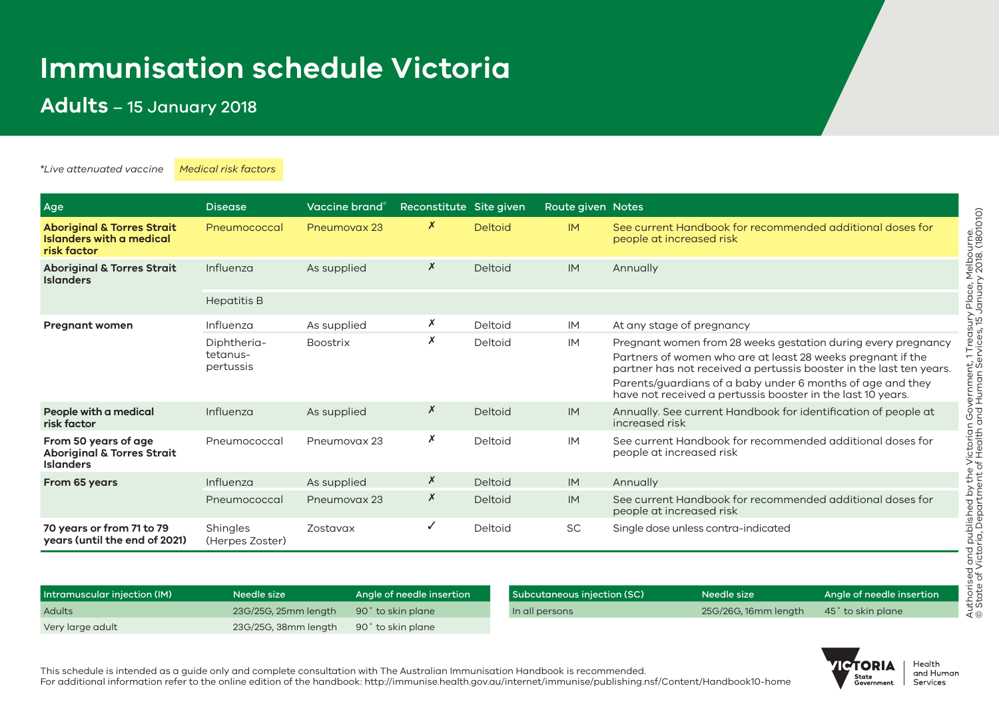### **Adults** – 15 January 2018

*\*Live attenuated vaccine Medical risk factors*

| Age                                                                               | <b>Disease</b>                       | Vaccine brand®  | Reconstitute Site given |                | Route given Notes |                                                                                                                                                                                                                                                                                                                                  |
|-----------------------------------------------------------------------------------|--------------------------------------|-----------------|-------------------------|----------------|-------------------|----------------------------------------------------------------------------------------------------------------------------------------------------------------------------------------------------------------------------------------------------------------------------------------------------------------------------------|
| <b>Aboriginal &amp; Torres Strait</b><br>Islanders with a medical<br>risk factor  | Pneumococcal                         | Pneumovax 23    | X                       | <b>Deltoid</b> | IM                | See current Handbook for recommended additional doses for<br>people at increased risk                                                                                                                                                                                                                                            |
| <b>Aboriginal &amp; Torres Strait</b><br><b>Islanders</b>                         | Influenza                            | As supplied     | X                       | Deltoid        | IM                | Annually                                                                                                                                                                                                                                                                                                                         |
|                                                                                   | <b>Hepatitis B</b>                   |                 |                         |                |                   |                                                                                                                                                                                                                                                                                                                                  |
| <b>Pregnant women</b>                                                             | Influenza                            | As supplied     | Х                       | Deltoid        | IM                | At any stage of pregnancy                                                                                                                                                                                                                                                                                                        |
|                                                                                   | Diphtheria-<br>tetanus-<br>pertussis | <b>Boostrix</b> | Х                       | Deltoid        | IM                | Pregnant women from 28 weeks gestation during every pregnancy<br>Partners of women who are at least 28 weeks pregnant if the<br>partner has not received a pertussis booster in the last ten years.<br>Parents/guardians of a baby under 6 months of age and they<br>have not received a pertussis booster in the last 10 years. |
| People with a medical<br>risk factor                                              | Influenza                            | As supplied     | Х                       | Deltoid        | <b>IM</b>         | Annually. See current Handbook for identification of people at<br>increased risk                                                                                                                                                                                                                                                 |
| From 50 years of age<br><b>Aboriginal &amp; Torres Strait</b><br><b>Islanders</b> | Pneumococcal                         | Pneumovax 23    | Х                       | Deltoid        | <b>IM</b>         | See current Handbook for recommended additional doses for<br>people at increased risk                                                                                                                                                                                                                                            |
| From 65 years                                                                     | Influenza                            | As supplied     | X                       | Deltoid        | <b>IM</b>         | Annually                                                                                                                                                                                                                                                                                                                         |
|                                                                                   | Pneumococcal                         | Pneumovax 23    | X                       | Deltoid        | IM                | See current Handbook for recommended additional doses for<br>people at increased risk                                                                                                                                                                                                                                            |
| 70 years or from 71 to 79<br>years (until the end of 2021)                        | Shingles<br>(Herpes Zoster)          | Zostavax        | $\checkmark$            | Deltoid        | <b>SC</b>         | Single dose unless contra-indicated                                                                                                                                                                                                                                                                                              |



This schedule is intended as a guide only and complete consultation with The Australian Immunisation Handbook is recommended. For additional information refer to the online edition of the handbook: http://immunise.health.gov.au/internet/immunise/publishing.nsf/Content/Handbook10-home